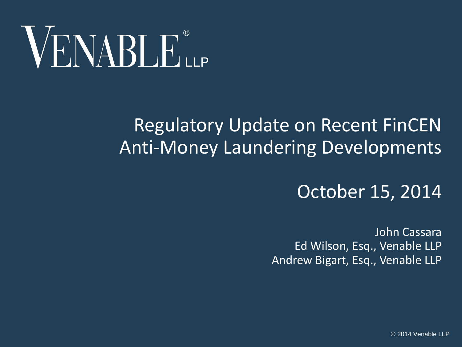#### Regulatory Update on Recent FinCEN Anti-Money Laundering Developments

#### October 15, 2014

John Cassara Ed Wilson, Esq., Venable LLP Andrew Bigart, Esq., Venable LLP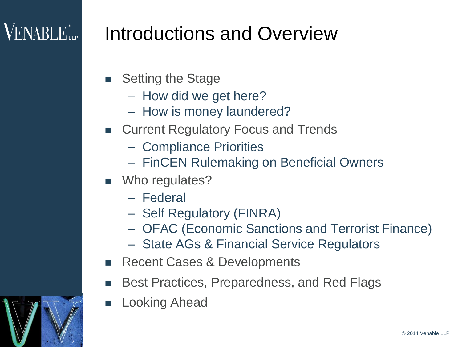# $VENABLE_{\sf LP}^*$

#### Introductions and Overview

- Setting the Stage
	- How did we get here?
	- How is money laundered?
- Current Regulatory Focus and Trends
	- Compliance Priorities
	- FinCEN Rulemaking on Beneficial Owners
- Who regulates?
	- Federal
	- Self Regulatory (FINRA)
	- OFAC (Economic Sanctions and Terrorist Finance)
	- State AGs & Financial Service Regulators
- Recent Cases & Developments
- Best Practices, Preparedness, and Red Flags
- Looking Ahead



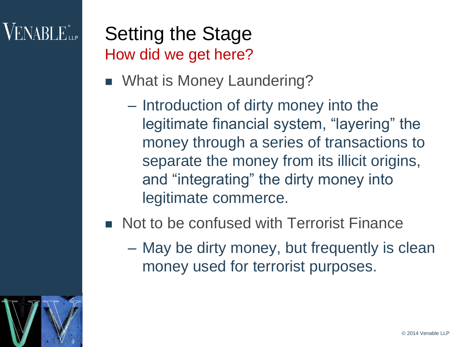# $VENABI$   $E_{\perp P}$

#### Setting the Stage How did we get here?

- What is Money Laundering?
	- Introduction of dirty money into the legitimate financial system, "layering" the money through a series of transactions to separate the money from its illicit origins, and "integrating" the dirty money into legitimate commerce.
- **Not to be confused with Terrorist Finance** 
	- May be dirty money, but frequently is clean money used for terrorist purposes.

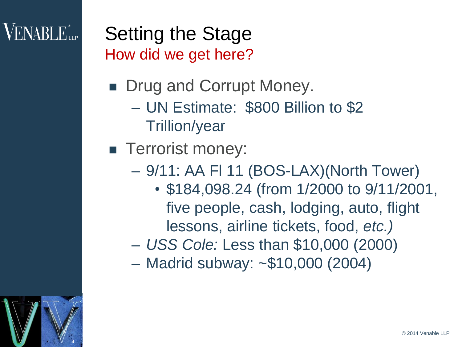4

#### Setting the Stage How did we get here?

- Drug and Corrupt Money.
	- UN Estimate: \$800 Billion to \$2 Trillion/year
- **Terrorist money:** 
	- 9/11: AA Fl 11 (BOS-LAX)(North Tower)
		- \$184,098.24 (from 1/2000 to 9/11/2001, five people, cash, lodging, auto, flight lessons, airline tickets, food, *etc.)*
	- *USS Cole:* Less than \$10,000 (2000)
	- Madrid subway: ~\$10,000 (2004)

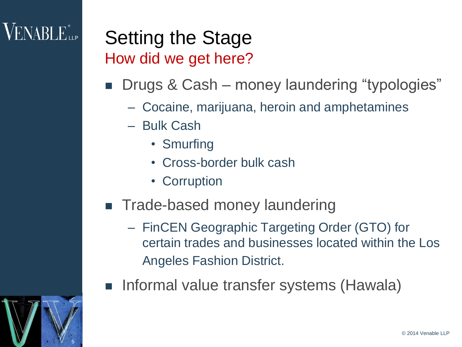# VENABLE<sup>®</sup>LLP

5

#### Setting the Stage How did we get here?

- Drugs & Cash money laundering "typologies"
	- Cocaine, marijuana, heroin and amphetamines
	- Bulk Cash
		- Smurfing
		- Cross-border bulk cash
		- Corruption
- **Trade-based money laundering** 
	- FinCEN Geographic Targeting Order (GTO) for certain trades and businesses located within the Los Angeles Fashion District.
- **Informal value transfer systems (Hawala)**

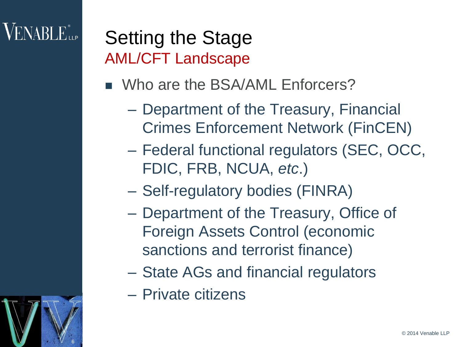6

#### Setting the Stage AML/CFT Landscape

- Who are the BSA/AML Enforcers?
	- Department of the Treasury, Financial Crimes Enforcement Network (FinCEN)
	- Federal functional regulators (SEC, OCC, FDIC, FRB, NCUA, *etc*.)
	- Self-regulatory bodies (FINRA)
	- Department of the Treasury, Office of Foreign Assets Control (economic sanctions and terrorist finance)
	- State AGs and financial regulators
	- Private citizens

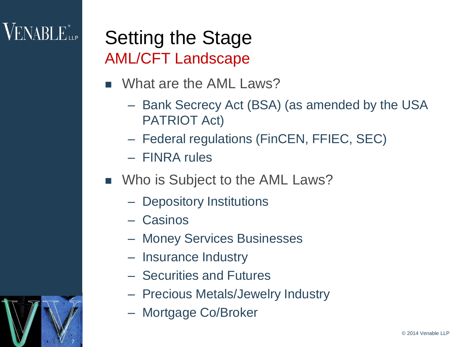7

#### Setting the Stage AML/CFT Landscape

- What are the AML Laws?
	- Bank Secrecy Act (BSA) (as amended by the USA PATRIOT Act)
	- Federal regulations (FinCEN, FFIEC, SEC)
	- FINRA rules
- Who is Subject to the AML Laws?
	- Depository Institutions
	- Casinos
	- Money Services Businesses
	- Insurance Industry
	- Securities and Futures
	- Precious Metals/Jewelry Industry
	- Mortgage Co/Broker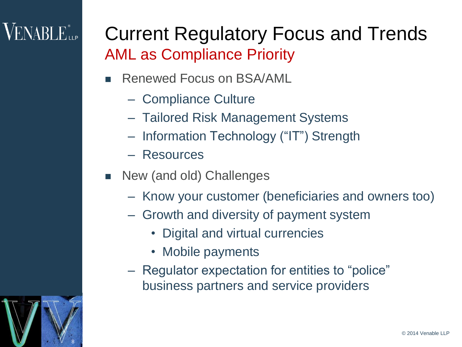8

#### Current Regulatory Focus and Trends AML as Compliance Priority

- Renewed Focus on BSA/AML
	- Compliance Culture
	- Tailored Risk Management Systems
	- Information Technology ("IT") Strength
	- Resources
- New (and old) Challenges
	- Know your customer (beneficiaries and owners too)
	- Growth and diversity of payment system
		- Digital and virtual currencies
		- Mobile payments
	- Regulator expectation for entities to "police" business partners and service providers

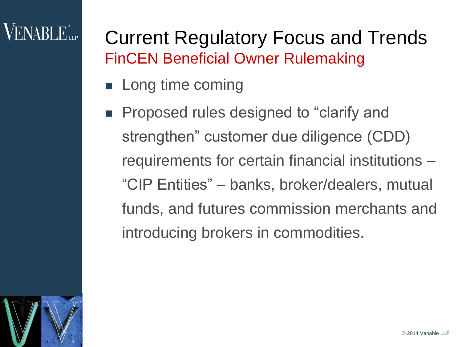#### Current Regulatory Focus and Trends FinCEN Beneficial Owner Rulemaking

- **Long time coming**
- **Proposed rules designed to "clarify and** strengthen" customer due diligence (CDD) requirements for certain financial institutions – "CIP Entities" – banks, broker/dealers, mutual funds, and futures commission merchants and introducing brokers in commodities.

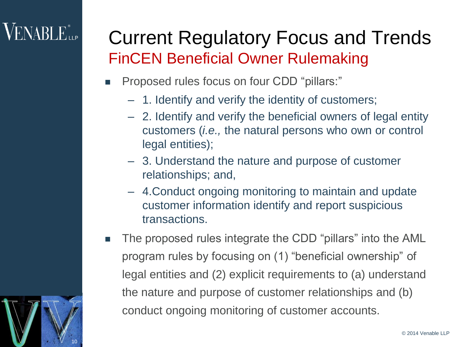# $\sf{VENABLE}^*$

#### Current Regulatory Focus and Trends FinCEN Beneficial Owner Rulemaking

- Proposed rules focus on four CDD "pillars:"
	- 1. Identify and verify the identity of customers;
	- 2. Identify and verify the beneficial owners of legal entity customers (*i.e.,* the natural persons who own or control legal entities);
	- 3. Understand the nature and purpose of customer relationships; and,
	- 4.Conduct ongoing monitoring to maintain and update customer information identify and report suspicious transactions.
- The proposed rules integrate the CDD "pillars" into the AML program rules by focusing on (1) "beneficial ownership" of legal entities and (2) explicit requirements to (a) understand the nature and purpose of customer relationships and (b) conduct ongoing monitoring of customer accounts.

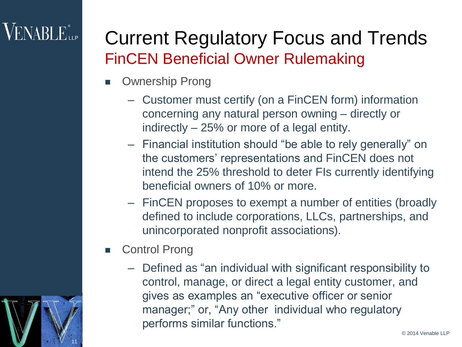# $VENABLE^\circ$ LLE

#### Current Regulatory Focus and Trends FinCEN Beneficial Owner Rulemaking

- Ownership Prong
	- Customer must certify (on a FinCEN form) information concerning any natural person owning – directly or indirectly – 25% or more of a legal entity.
	- Financial institution should "be able to rely generally" on the customers' representations and FinCEN does not intend the 25% threshold to deter FIs currently identifying beneficial owners of 10% or more.
	- FinCEN proposes to exempt a number of entities (broadly defined to include corporations, LLCs, partnerships, and unincorporated nonprofit associations).
- Control Prong

11

– Defined as "an individual with significant responsibility to control, manage, or direct a legal entity customer, and gives as examples an "executive officer or senior manager;" or, "Any other individual who regulatory performs similar functions."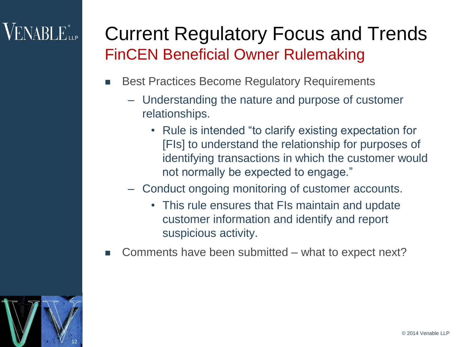# **VENABLE** LLP

#### Current Regulatory Focus and Trends FinCEN Beneficial Owner Rulemaking

- Best Practices Become Regulatory Requirements
	- Understanding the nature and purpose of customer relationships.
		- Rule is intended "to clarify existing expectation for [FIs] to understand the relationship for purposes of identifying transactions in which the customer would not normally be expected to engage."
	- Conduct ongoing monitoring of customer accounts.
		- This rule ensures that FIs maintain and update customer information and identify and report suspicious activity.
- Comments have been submitted what to expect next?

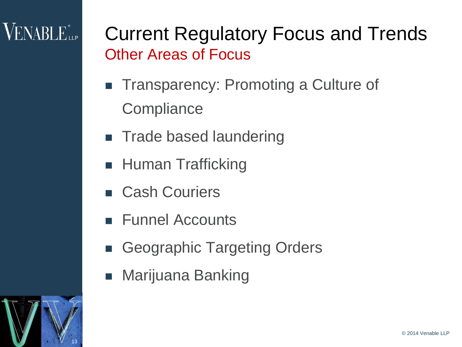#### Current Regulatory Focus and Trends Other Areas of Focus

- Transparency: Promoting a Culture of **Compliance**
- **Trade based laundering**
- **Human Trafficking**
- Cash Couriers
- Funnel Accounts
- Geographic Targeting Orders
- **Marijuana Banking**

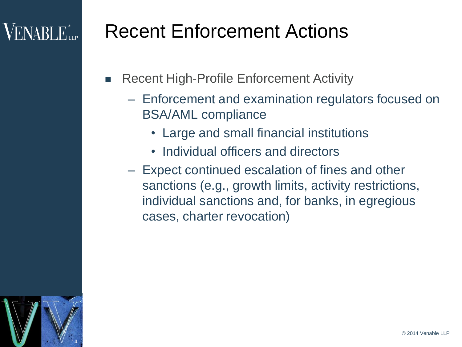## $VENABI$   $E_{\perp P}^*$

# Recent Enforcement Actions

- Recent High-Profile Enforcement Activity
	- Enforcement and examination regulators focused on BSA/AML compliance
		- Large and small financial institutions
		- Individual officers and directors
	- Expect continued escalation of fines and other sanctions (e.g., growth limits, activity restrictions, individual sanctions and, for banks, in egregious cases, charter revocation)

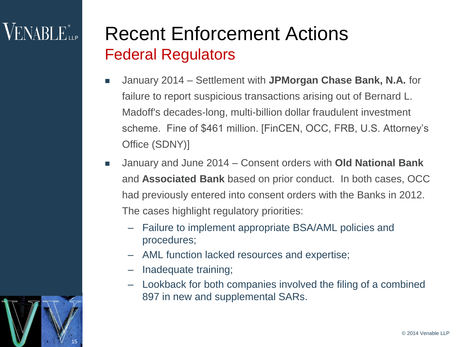15

#### Recent Enforcement Actions Federal Regulators

- January 2014 Settlement with **JPMorgan Chase Bank, N.A.** for failure to report suspicious transactions arising out of Bernard L. Madoff's decades-long, multi-billion dollar fraudulent investment scheme. Fine of \$461 million. [FinCEN, OCC, FRB, U.S. Attorney's Office (SDNY)]
- January and June 2014 Consent orders with **Old National Bank**  and **Associated Bank** based on prior conduct. In both cases, OCC had previously entered into consent orders with the Banks in 2012. The cases highlight regulatory priorities:
	- Failure to implement appropriate BSA/AML policies and procedures;
	- AML function lacked resources and expertise;
	- Inadequate training;
	- Lookback for both companies involved the filing of a combined 897 in new and supplemental SARs.

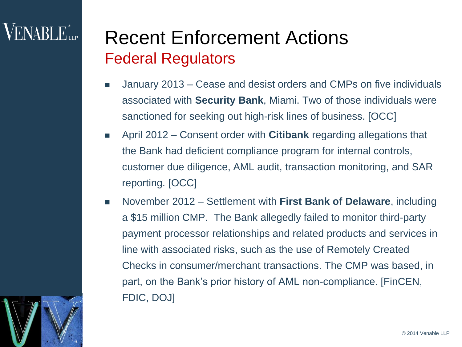#### Recent Enforcement Actions Federal Regulators

- January 2013 Cease and desist orders and CMPs on five individuals associated with **Security Bank**, Miami. Two of those individuals were sanctioned for seeking out high-risk lines of business. [OCC]
- April 2012 Consent order with **Citibank** regarding allegations that the Bank had deficient compliance program for internal controls, customer due diligence, AML audit, transaction monitoring, and SAR reporting. [OCC]
- November 2012 Settlement with **First Bank of Delaware**, including a \$15 million CMP. The Bank allegedly failed to monitor third-party payment processor relationships and related products and services in line with associated risks, such as the use of Remotely Created Checks in consumer/merchant transactions. The CMP was based, in part, on the Bank's prior history of AML non-compliance. [FinCEN, FDIC, DOJ]

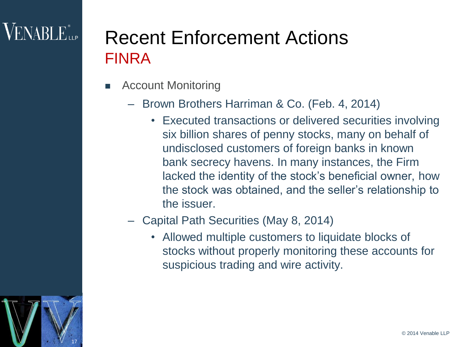#### Recent Enforcement Actions FINRA

- Account Monitoring
	- Brown Brothers Harriman & Co. (Feb. 4, 2014)
		- Executed transactions or delivered securities involving six billion shares of penny stocks, many on behalf of undisclosed customers of foreign banks in known bank secrecy havens. In many instances, the Firm lacked the identity of the stock's beneficial owner, how the stock was obtained, and the seller's relationship to the issuer.
	- Capital Path Securities (May 8, 2014)
		- Allowed multiple customers to liquidate blocks of stocks without properly monitoring these accounts for suspicious trading and wire activity.

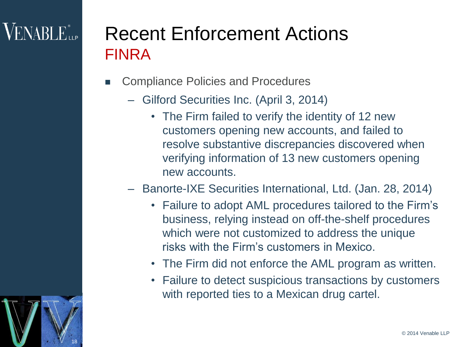## **VENABLE** LLP

18

#### Recent Enforcement Actions FINRA

- Compliance Policies and Procedures
	- Gilford Securities Inc. (April 3, 2014)
		- The Firm failed to verify the identity of 12 new customers opening new accounts, and failed to resolve substantive discrepancies discovered when verifying information of 13 new customers opening new accounts.
	- Banorte-IXE Securities International, Ltd. (Jan. 28, 2014)
		- Failure to adopt AML procedures tailored to the Firm's business, relying instead on off-the-shelf procedures which were not customized to address the unique risks with the Firm's customers in Mexico.
		- The Firm did not enforce the AML program as written.
		- Failure to detect suspicious transactions by customers with reported ties to a Mexican drug cartel.

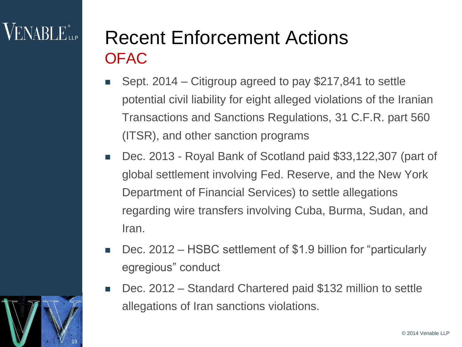#### Recent Enforcement Actions **OFAC**

- Sept. 2014 Citigroup agreed to pay \$217,841 to settle potential civil liability for eight alleged violations of the Iranian Transactions and Sanctions Regulations, 31 C.F.R. part 560 (ITSR), and other sanction programs
- Dec. 2013 Royal Bank of Scotland paid \$33,122,307 (part of global settlement involving Fed. Reserve, and the New York Department of Financial Services) to settle allegations regarding wire transfers involving Cuba, Burma, Sudan, and Iran.
- Dec. 2012 HSBC settlement of \$1.9 billion for "particularly egregious" conduct
- Dec. 2012 Standard Chartered paid \$132 million to settle allegations of Iran sanctions violations.

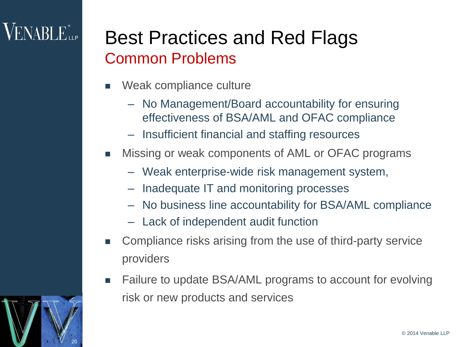# $\sf{VENABLE}^*$

#### Best Practices and Red Flags Common Problems

- Weak compliance culture
	- No Management/Board accountability for ensuring effectiveness of BSA/AML and OFAC compliance
	- Insufficient financial and staffing resources
- Missing or weak components of AML or OFAC programs
	- Weak enterprise-wide risk management system,
	- Inadequate IT and monitoring processes
	- No business line accountability for BSA/AML compliance
	- Lack of independent audit function
- Compliance risks arising from the use of third-party service providers
- Failure to update BSA/AML programs to account for evolving risk or new products and services



20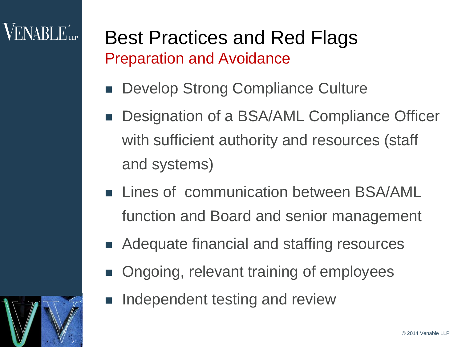# $\mathsf{VENABLE}_{\mathsf{LP}}^*$

- Develop Strong Compliance Culture
- Designation of a BSA/AML Compliance Officer with sufficient authority and resources (staff and systems)
- **Lines of communication between BSA/AML** function and Board and senior management
- Adequate financial and staffing resources
- **Ongoing, relevant training of employees**
- Independent testing and review

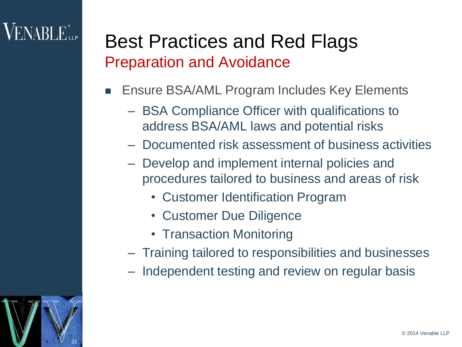22

- Ensure BSA/AML Program Includes Key Elements
	- BSA Compliance Officer with qualifications to address BSA/AML laws and potential risks
	- Documented risk assessment of business activities
	- Develop and implement internal policies and procedures tailored to business and areas of risk
		- Customer Identification Program
		- Customer Due Diligence
		- Transaction Monitoring
	- Training tailored to responsibilities and businesses
	- Independent testing and review on regular basis

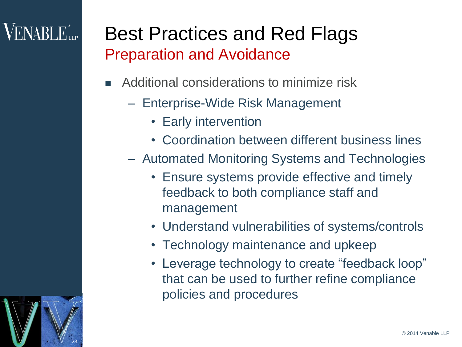# $\sf{VENABLE}^*$

23

- Additional considerations to minimize risk
	- Enterprise-Wide Risk Management
		- Early intervention
		- Coordination between different business lines
	- Automated Monitoring Systems and Technologies
		- Ensure systems provide effective and timely feedback to both compliance staff and management
		- Understand vulnerabilities of systems/controls
		- Technology maintenance and upkeep
		- Leverage technology to create "feedback loop" that can be used to further refine compliance policies and procedures

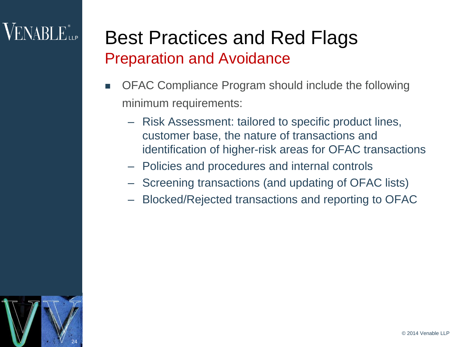- OFAC Compliance Program should include the following minimum requirements:
	- Risk Assessment: tailored to specific product lines, customer base, the nature of transactions and identification of higher-risk areas for OFAC transactions
	- Policies and procedures and internal controls
	- Screening transactions (and updating of OFAC lists)
	- Blocked/Rejected transactions and reporting to OFAC

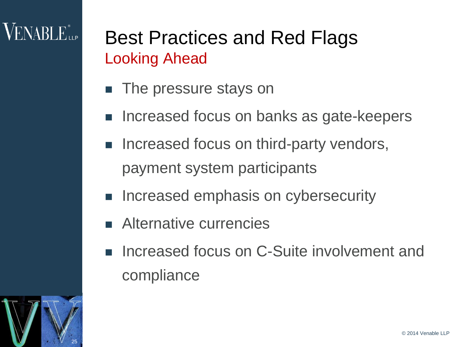# **VENABLE**<sup>®</sup>LLP

#### Best Practices and Red Flags Looking Ahead

- **The pressure stays on**
- Increased focus on banks as gate-keepers
- Increased focus on third-party vendors, payment system participants
- **Increased emphasis on cybersecurity**
- **EXECUTE:** Alternative currencies
- **Increased focus on C-Suite involvement and** compliance